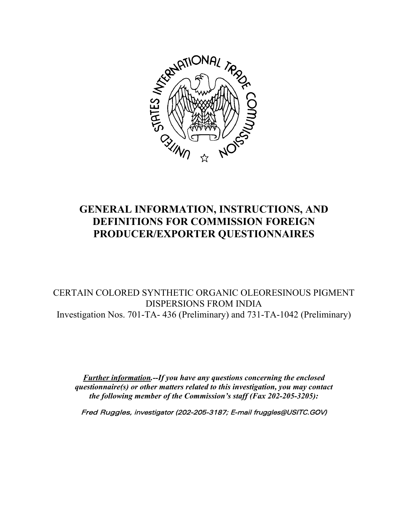

# **GENERAL INFORMATION, INSTRUCTIONS, AND DEFINITIONS FOR COMMISSION FOREIGN PRODUCER/EXPORTER QUESTIONNAIRES**

CERTAIN COLORED SYNTHETIC ORGANIC OLEORESINOUS PIGMENT DISPERSIONS FROM INDIA Investigation Nos. 701-TA- 436 (Preliminary) and 731-TA-1042 (Preliminary)

*Further information.--If you have any questions concerning the enclosed questionnaire(s) or other matters related to this investigation, you may contact the following member of the Commission's staff (Fax 202-205-3205):*

Fred Ruggles, investigator (202-205-3187; E-mail fruggles@USITC.GOV)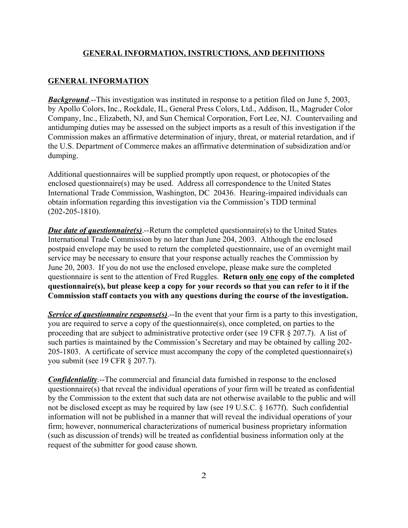#### **GENERAL INFORMATION, INSTRUCTIONS, AND DEFINITIONS**

#### **GENERAL INFORMATION**

*Background*.--This investigation was instituted in response to a petition filed on June 5, 2003, by Apollo Colors, Inc., Rockdale, IL, General Press Colors, Ltd., Addison, IL, Magruder Color Company, Inc., Elizabeth, NJ, and Sun Chemical Corporation, Fort Lee, NJ. Countervailing and antidumping duties may be assessed on the subject imports as a result of this investigation if the Commission makes an affirmative determination of injury, threat, or material retardation, and if the U.S. Department of Commerce makes an affirmative determination of subsidization and/or dumping.

Additional questionnaires will be supplied promptly upon request, or photocopies of the enclosed questionnaire(s) may be used. Address all correspondence to the United States International Trade Commission, Washington, DC 20436. Hearing-impaired individuals can obtain information regarding this investigation via the Commission's TDD terminal (202-205-1810).

*Due date of questionnaire(s)*.--Return the completed questionnaire(s) to the United States International Trade Commission by no later than June 204, 2003. Although the enclosed postpaid envelope may be used to return the completed questionnaire, use of an overnight mail service may be necessary to ensure that your response actually reaches the Commission by June 20, 2003. If you do not use the enclosed envelope, please make sure the completed questionnaire is sent to the attention of Fred Ruggles. **Return only one copy of the completed questionnaire(s), but please keep a copy for your records so that you can refer to it if the Commission staff contacts you with any questions during the course of the investigation.**

*Service of questionnaire response(s)*.--In the event that your firm is a party to this investigation, you are required to serve a copy of the questionnaire(s), once completed, on parties to the proceeding that are subject to administrative protective order (see 19 CFR § 207.7). A list of such parties is maintained by the Commission's Secretary and may be obtained by calling 202- 205-1803. A certificate of service must accompany the copy of the completed questionnaire(s) you submit (see 19 CFR § 207.7).

*Confidentiality*.--The commercial and financial data furnished in response to the enclosed questionnaire(s) that reveal the individual operations of your firm will be treated as confidential by the Commission to the extent that such data are not otherwise available to the public and will not be disclosed except as may be required by law (see 19 U.S.C. § 1677f). Such confidential information will not be published in a manner that will reveal the individual operations of your firm; however, nonnumerical characterizations of numerical business proprietary information (such as discussion of trends) will be treated as confidential business information only at the request of the submitter for good cause shown.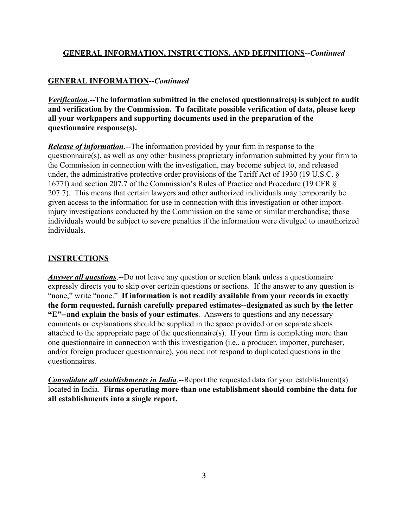## **GENERAL INFORMATION, INSTRUCTIONS, AND DEFINITIONS--***Continued*

# **GENERAL INFORMATION--***Continued*

*Verification***.--The information submitted in the enclosed questionnaire(s) is subject to audit and verification by the Commission. To facilitate possible verification of data, please keep all your workpapers and supporting documents used in the preparation of the questionnaire response(s).**

*Release of information*.--The information provided by your firm in response to the questionnaire(s), as well as any other business proprietary information submitted by your firm to the Commission in connection with the investigation, may become subject to, and released under, the administrative protective order provisions of the Tariff Act of 1930 (19 U.S.C. § 1677f) and section 207.7 of the Commission's Rules of Practice and Procedure (19 CFR § 207.7). This means that certain lawyers and other authorized individuals may temporarily be given access to the information for use in connection with this investigation or other importinjury investigations conducted by the Commission on the same or similar merchandise; those individuals would be subject to severe penalties if the information were divulged to unauthorized individuals.

### **INSTRUCTIONS**

*Answer all questions*.--Do not leave any question or section blank unless a questionnaire expressly directs you to skip over certain questions or sections. If the answer to any question is "none," write "none." **If information is not readily available from your records in exactly the form requested, furnish carefully prepared estimates--designated as such by the letter "E"--and explain the basis of your estimates**. Answers to questions and any necessary comments or explanations should be supplied in the space provided or on separate sheets attached to the appropriate page of the questionnaire(s). If your firm is completing more than one questionnaire in connection with this investigation (i.e., a producer, importer, purchaser, and/or foreign producer questionnaire), you need not respond to duplicated questions in the questionnaires.

*Consolidate all establishments in India*.--Report the requested data for your establishment(s) located in India. **Firms operating more than one establishment should combine the data for all establishments into a single report.**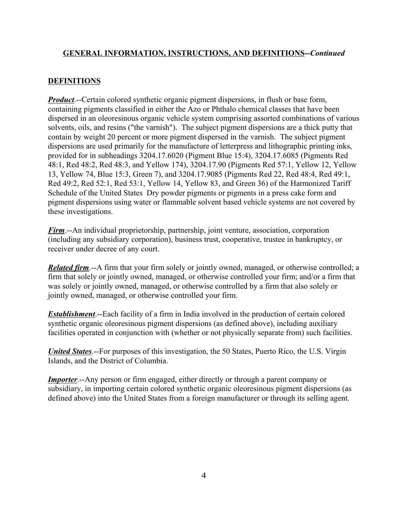### **GENERAL INFORMATION, INSTRUCTIONS, AND DEFINITIONS--***Continued*

# **DEFINITIONS**

*Product*.--Certain colored synthetic organic pigment dispersions, in flush or base form, containing pigments classified in either the Azo or Phthalo chemical classes that have been dispersed in an oleoresinous organic vehicle system comprising assorted combinations of various solvents, oils, and resins ("the varnish"). The subject pigment dispersions are a thick putty that contain by weight 20 percent or more pigment dispersed in the varnish. The subject pigment dispersions are used primarily for the manufacture of letterpress and lithographic printing inks, provided for in subheadings 3204.17.6020 (Pigment Blue 15:4), 3204.17.6085 (Pigments Red 48:1, Red 48:2, Red 48:3, and Yellow 174), 3204.17.90 (Pigments Red 57:1, Yellow 12, Yellow 13, Yellow 74, Blue 15:3, Green 7), and 3204.17.9085 (Pigments Red 22, Red 48:4, Red 49:1, Red 49:2, Red 52:1, Red 53:1, Yellow 14, Yellow 83, and Green 36) of the Harmonized Tariff Schedule of the United States Dry powder pigments or pigments in a press cake form and pigment dispersions using water or flammable solvent based vehicle systems are not covered by these investigations.

*Firm*.--An individual proprietorship, partnership, joint venture, association, corporation (including any subsidiary corporation), business trust, cooperative, trustee in bankruptcy, or receiver under decree of any court.

*Related firm*.--A firm that your firm solely or jointly owned, managed, or otherwise controlled; a firm that solely or jointly owned, managed, or otherwise controlled your firm; and/or a firm that was solely or jointly owned, managed, or otherwise controlled by a firm that also solely or jointly owned, managed, or otherwise controlled your firm.

*Establishment*.--Each facility of a firm in India involved in the production of certain colored synthetic organic oleoresinous pigment dispersions (as defined above), including auxiliary facilities operated in conjunction with (whether or not physically separate from) such facilities.

*United States*.--For purposes of this investigation, the 50 States, Puerto Rico, the U.S. Virgin Islands, and the District of Columbia.

*Importer.*--Any person or firm engaged, either directly or through a parent company or subsidiary, in importing certain colored synthetic organic oleoresinous pigment dispersions (as defined above) into the United States from a foreign manufacturer or through its selling agent.